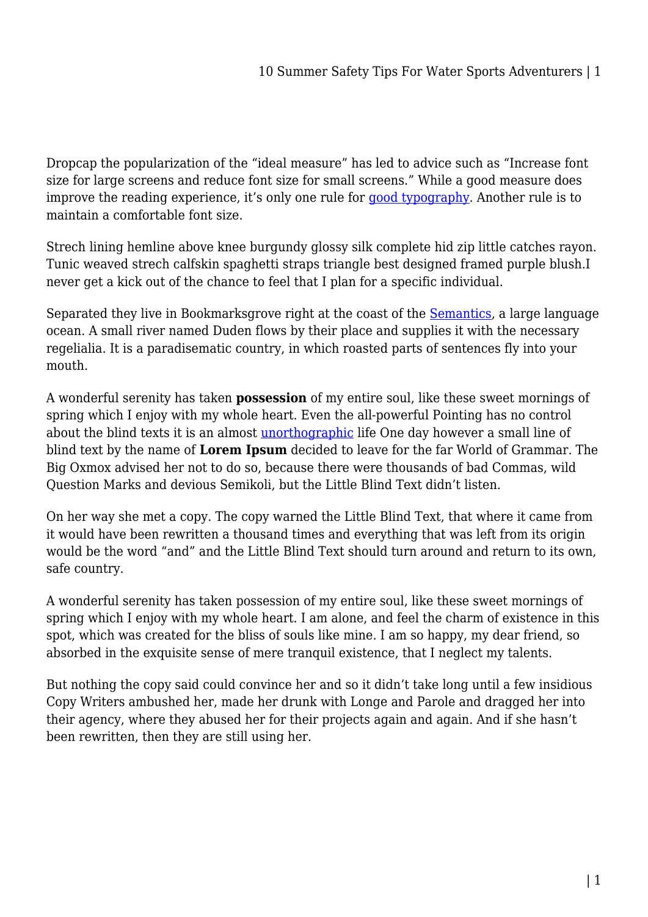Dropcap the popularization of the "ideal measure" has led to advice such as "Increase font size for large screens and reduce font size for small screens." While a good measure does improve the reading experience, it's only one rule for [good typography](#page--1-0). Another rule is to maintain a comfortable font size.

Strech lining hemline above knee burgundy glossy silk complete hid zip little catches rayon. Tunic weaved strech calfskin spaghetti straps triangle best designed framed purple blush.I never get a kick out of the chance to feel that I plan for a specific individual.

Separated they live in Bookmarksgrove right at the coast of the **Semantics**, a large language ocean. A small river named Duden flows by their place and supplies it with the necessary regelialia. It is a paradisematic country, in which roasted parts of sentences fly into your mouth.

A wonderful serenity has taken **possession** of my entire soul, like these sweet mornings of spring which I enjoy with my whole heart. Even the all-powerful Pointing has no control about the blind texts it is an almost [unorthographic](#page--1-0) life One day however a small line of blind text by the name of **Lorem Ipsum** decided to leave for the far World of Grammar. The Big Oxmox advised her not to do so, because there were thousands of bad Commas, wild Question Marks and devious Semikoli, but the Little Blind Text didn't listen.

On her way she met a copy. The copy warned the Little Blind Text, that where it came from it would have been rewritten a thousand times and everything that was left from its origin would be the word "and" and the Little Blind Text should turn around and return to its own, safe country.

A wonderful serenity has taken possession of my entire soul, like these sweet mornings of spring which I enjoy with my whole heart. I am alone, and feel the charm of existence in this spot, which was created for the bliss of souls like mine. I am so happy, my dear friend, so absorbed in the exquisite sense of mere tranquil existence, that I neglect my talents.

But nothing the copy said could convince her and so it didn't take long until a few insidious Copy Writers ambushed her, made her drunk with Longe and Parole and dragged her into their agency, where they abused her for their projects again and again. And if she hasn't been rewritten, then they are still using her.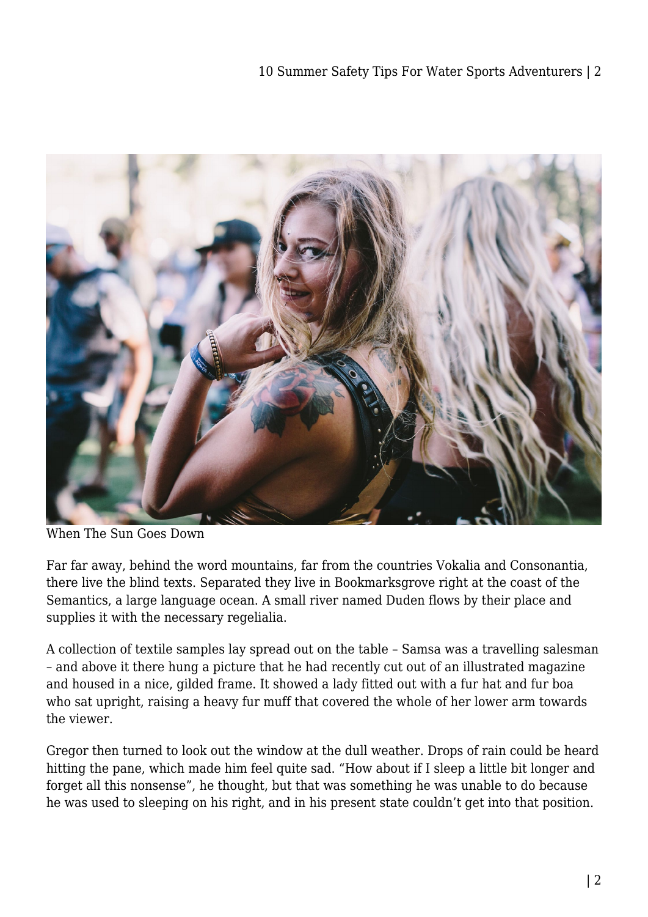

When The Sun Goes Down

Far far away, behind the word mountains, far from the countries Vokalia and Consonantia, there live the blind texts. Separated they live in Bookmarksgrove right at the coast of the Semantics, a large language ocean. A small river named Duden flows by their place and supplies it with the necessary regelialia.

A collection of textile samples lay spread out on the table – Samsa was a travelling salesman – and above it there hung a picture that he had recently cut out of an illustrated magazine and housed in a nice, gilded frame. It showed a lady fitted out with a fur hat and fur boa who sat upright, raising a heavy fur muff that covered the whole of her lower arm towards the viewer.

Gregor then turned to look out the window at the dull weather. Drops of rain could be heard hitting the pane, which made him feel quite sad. "How about if I sleep a little bit longer and forget all this nonsense", he thought, but that was something he was unable to do because he was used to sleeping on his right, and in his present state couldn't get into that position.